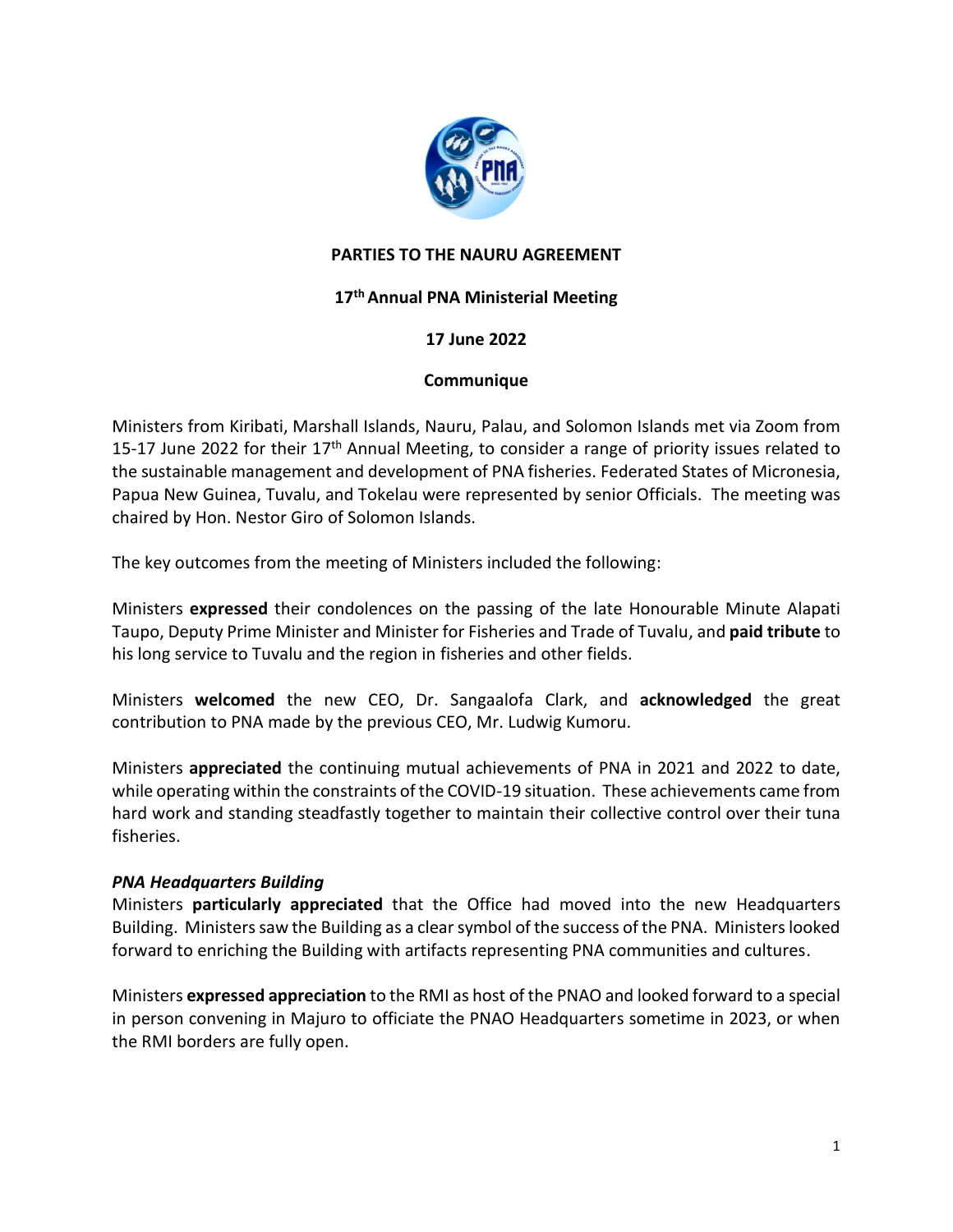

### **PARTIES TO THE NAURU AGREEMENT**

# **17 th Annual PNA Ministerial Meeting**

## **17 June 2022**

#### **Communique**

Ministers from Kiribati, Marshall Islands, Nauru, Palau, and Solomon Islands met via Zoom from 15-17 June 2022 for their 17<sup>th</sup> Annual Meeting, to consider a range of priority issues related to the sustainable management and development of PNA fisheries. Federated States of Micronesia, Papua New Guinea, Tuvalu, and Tokelau were represented by senior Officials. The meeting was chaired by Hon. Nestor Giro of Solomon Islands.

The key outcomes from the meeting of Ministers included the following:

Ministers **expressed** their condolences on the passing of the late Honourable Minute Alapati Taupo, Deputy Prime Minister and Minister for Fisheries and Trade of Tuvalu, and **paid tribute** to his long service to Tuvalu and the region in fisheries and other fields.

Ministers **welcomed** the new CEO, Dr. Sangaalofa Clark, and **acknowledged** the great contribution to PNA made by the previous CEO, Mr. Ludwig Kumoru.

Ministers **appreciated** the continuing mutual achievements of PNA in 2021 and 2022 to date, while operating within the constraints of the COVID-19 situation. These achievements came from hard work and standing steadfastly together to maintain their collective control over their tuna fisheries.

#### *PNA Headquarters Building*

Ministers **particularly appreciated** that the Office had moved into the new Headquarters Building. Ministers saw the Building as a clear symbol of the success of the PNA. Ministers looked forward to enriching the Building with artifacts representing PNA communities and cultures.

Ministers **expressed appreciation** to the RMI as host of the PNAO and looked forward to a special in person convening in Majuro to officiate the PNAO Headquarters sometime in 2023, or when the RMI borders are fully open.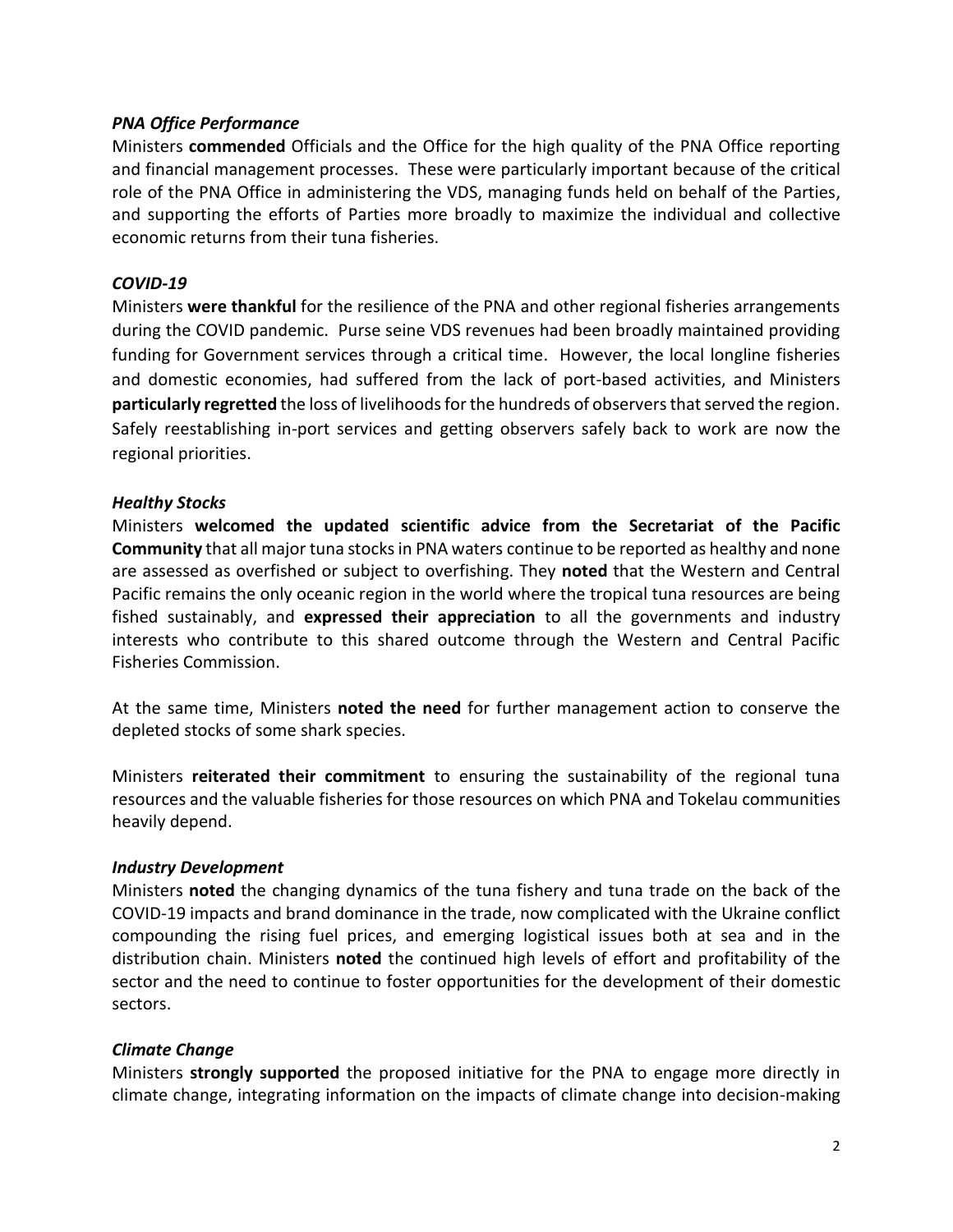### *PNA Office Performance*

Ministers **commended** Officials and the Office for the high quality of the PNA Office reporting and financial management processes. These were particularly important because of the critical role of the PNA Office in administering the VDS, managing funds held on behalf of the Parties, and supporting the efforts of Parties more broadly to maximize the individual and collective economic returns from their tuna fisheries.

## *COVID-19*

Ministers **were thankful** for the resilience of the PNA and other regional fisheries arrangements during the COVID pandemic. Purse seine VDS revenues had been broadly maintained providing funding for Government services through a critical time. However, the local longline fisheries and domestic economies, had suffered from the lack of port-based activities, and Ministers **particularly regretted** the loss of livelihoods for the hundreds of observers that served the region. Safely reestablishing in-port services and getting observers safely back to work are now the regional priorities.

## *Healthy Stocks*

Ministers **welcomed the updated scientific advice from the Secretariat of the Pacific Community** that all major tuna stocks in PNA waters continue to be reported as healthy and none are assessed as overfished or subject to overfishing. They **noted** that the Western and Central Pacific remains the only oceanic region in the world where the tropical tuna resources are being fished sustainably, and **expressed their appreciation** to all the governments and industry interests who contribute to this shared outcome through the Western and Central Pacific Fisheries Commission.

At the same time, Ministers **noted the need** for further management action to conserve the depleted stocks of some shark species.

Ministers **reiterated their commitment** to ensuring the sustainability of the regional tuna resources and the valuable fisheries for those resources on which PNA and Tokelau communities heavily depend.

#### *Industry Development*

Ministers **noted** the changing dynamics of the tuna fishery and tuna trade on the back of the COVID-19 impacts and brand dominance in the trade, now complicated with the Ukraine conflict compounding the rising fuel prices, and emerging logistical issues both at sea and in the distribution chain. Ministers **noted** the continued high levels of effort and profitability of the sector and the need to continue to foster opportunities for the development of their domestic sectors.

# *Climate Change*

Ministers **strongly supported** the proposed initiative for the PNA to engage more directly in climate change, integrating information on the impacts of climate change into decision-making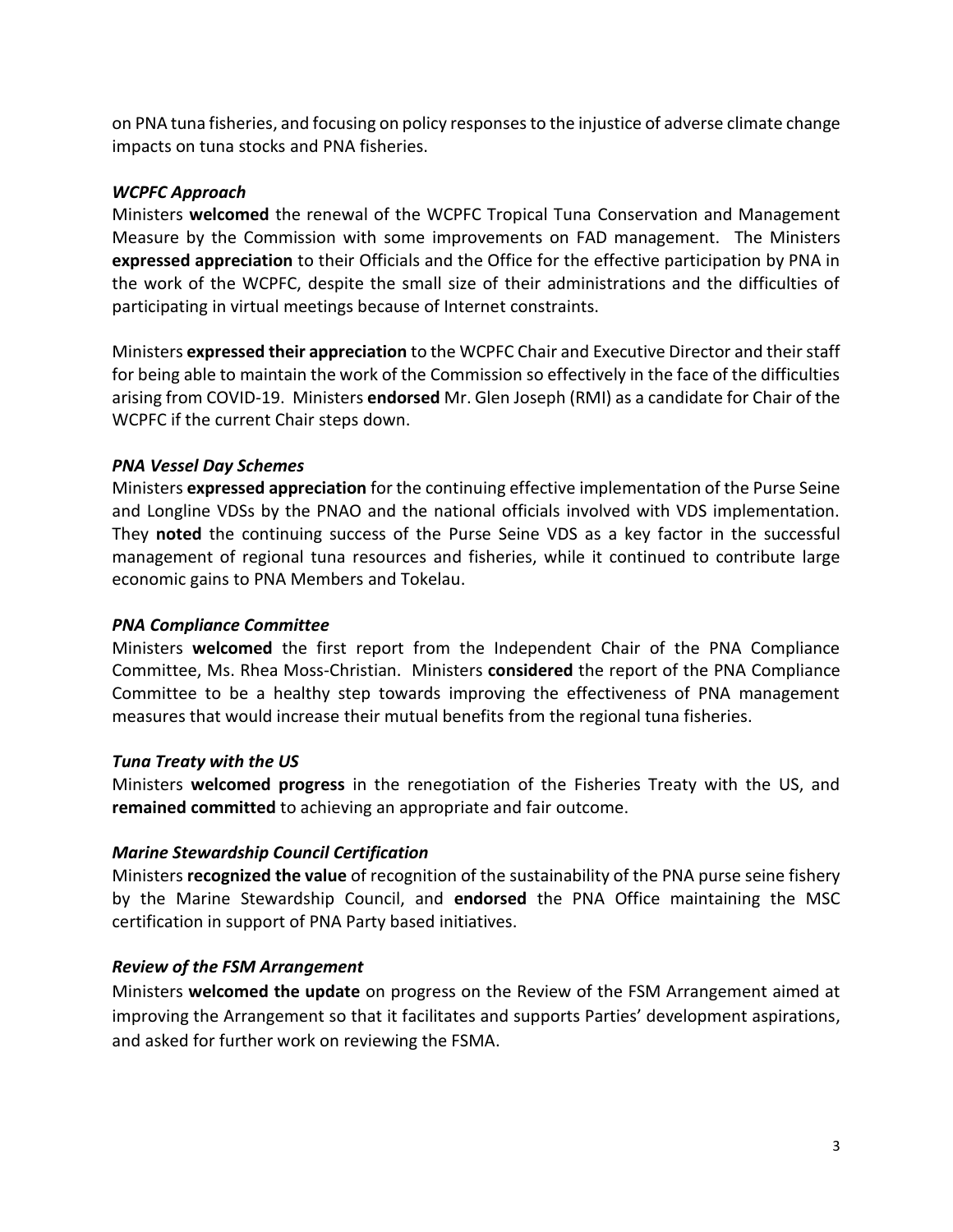on PNA tuna fisheries, and focusing on policy responses to the injustice of adverse climate change impacts on tuna stocks and PNA fisheries.

# *WCPFC Approach*

Ministers **welcomed** the renewal of the WCPFC Tropical Tuna Conservation and Management Measure by the Commission with some improvements on FAD management. The Ministers **expressed appreciation** to their Officials and the Office for the effective participation by PNA in the work of the WCPFC, despite the small size of their administrations and the difficulties of participating in virtual meetings because of Internet constraints.

Ministers **expressed their appreciation** to the WCPFC Chair and Executive Director and their staff for being able to maintain the work of the Commission so effectively in the face of the difficulties arising from COVID-19. Ministers **endorsed** Mr. Glen Joseph (RMI) as a candidate for Chair of the WCPFC if the current Chair steps down.

# *PNA Vessel Day Schemes*

Ministers **expressed appreciation** for the continuing effective implementation of the Purse Seine and Longline VDSs by the PNAO and the national officials involved with VDS implementation. They **noted** the continuing success of the Purse Seine VDS as a key factor in the successful management of regional tuna resources and fisheries, while it continued to contribute large economic gains to PNA Members and Tokelau.

# *PNA Compliance Committee*

Ministers **welcomed** the first report from the Independent Chair of the PNA Compliance Committee, Ms. Rhea Moss-Christian. Ministers **considered** the report of the PNA Compliance Committee to be a healthy step towards improving the effectiveness of PNA management measures that would increase their mutual benefits from the regional tuna fisheries.

# *Tuna Treaty with the US*

Ministers **welcomed progress** in the renegotiation of the Fisheries Treaty with the US, and **remained committed** to achieving an appropriate and fair outcome.

# *Marine Stewardship Council Certification*

Ministers **recognized the value** of recognition of the sustainability of the PNA purse seine fishery by the Marine Stewardship Council, and **endorsed** the PNA Office maintaining the MSC certification in support of PNA Party based initiatives.

# *Review of the FSM Arrangement*

Ministers **welcomed the update** on progress on the Review of the FSM Arrangement aimed at improving the Arrangement so that it facilitates and supports Parties' development aspirations, and asked for further work on reviewing the FSMA.